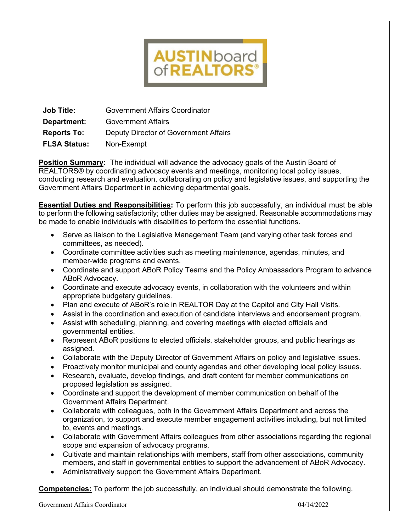# **AUSTINboard**<br>of**REALTORS**®

**Job Title:** Government Affairs Coordinator **Department:** Government Affairs **Reports To:** Deputy Director of Government Affairs **FLSA Status:** Non-Exempt

**Position Summary:** The individual will advance the advocacy goals of the Austin Board of REALTORS® by coordinating advocacy events and meetings, monitoring local policy issues, conducting research and evaluation, collaborating on policy and legislative issues, and supporting the Government Affairs Department in achieving departmental goals.

**Essential Duties and Responsibilities:** To perform this job successfully, an individual must be able to perform the following satisfactorily; other duties may be assigned. Reasonable accommodations may be made to enable individuals with disabilities to perform the essential functions.

- Serve as liaison to the Legislative Management Team (and varying other task forces and committees, as needed).
- Coordinate committee activities such as meeting maintenance, agendas, minutes, and member-wide programs and events.
- Coordinate and support ABoR Policy Teams and the Policy Ambassadors Program to advance ABoR Advocacy.
- Coordinate and execute advocacy events, in collaboration with the volunteers and within appropriate budgetary guidelines.
- Plan and execute of ABoR's role in REALTOR Day at the Capitol and City Hall Visits.
- Assist in the coordination and execution of candidate interviews and endorsement program.
- Assist with scheduling, planning, and covering meetings with elected officials and governmental entities.
- Represent ABoR positions to elected officials, stakeholder groups, and public hearings as assigned.
- Collaborate with the Deputy Director of Government Affairs on policy and legislative issues.
- Proactively monitor municipal and county agendas and other developing local policy issues.
- Research, evaluate, develop findings, and draft content for member communications on proposed legislation as assigned.
- Coordinate and support the development of member communication on behalf of the Government Affairs Department.
- Collaborate with colleagues, both in the Government Affairs Department and across the organization, to support and execute member engagement activities including, but not limited to, events and meetings.
- Collaborate with Government Affairs colleagues from other associations regarding the regional scope and expansion of advocacy programs.
- Cultivate and maintain relationships with members, staff from other associations, community members, and staff in governmental entities to support the advancement of ABoR Advocacy.
- Administratively support the Government Affairs Department.

**Competencies:** To perform the job successfully, an individual should demonstrate the following.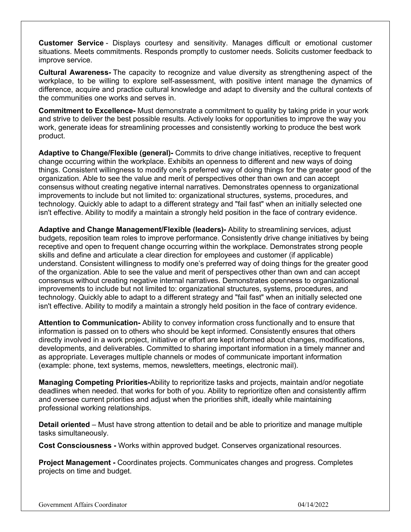**Customer Service** - Displays courtesy and sensitivity. Manages difficult or emotional customer situations. Meets commitments. Responds promptly to customer needs. Solicits customer feedback to improve service.

**Cultural Awareness-** The capacity to recognize and value diversity as strengthening aspect of the workplace, to be willing to explore self-assessment, with positive intent manage the dynamics of difference, acquire and practice cultural knowledge and adapt to diversity and the cultural contexts of the communities one works and serves in.

**Commitment to Excellence-** Must demonstrate a commitment to quality by taking pride in your work and strive to deliver the best possible results. Actively looks for opportunities to improve the way you work, generate ideas for streamlining processes and consistently working to produce the best work product.

**Adaptive to Change/Flexible (general)-** Commits to drive change initiatives, receptive to frequent change occurring within the workplace. Exhibits an openness to different and new ways of doing things. Consistent willingness to modify one's preferred way of doing things for the greater good of the organization. Able to see the value and merit of perspectives other than own and can accept consensus without creating negative internal narratives. Demonstrates openness to organizational improvements to include but not limited to: organizational structures, systems, procedures, and technology. Quickly able to adapt to a different strategy and "fail fast" when an initially selected one isn't effective. Ability to modify a maintain a strongly held position in the face of contrary evidence.

**Adaptive and Change Management/Flexible (leaders)-** Ability to streamlining services, adjust budgets, reposition team roles to improve performance. Consistently drive change initiatives by being receptive and open to frequent change occurring within the workplace. Demonstrates strong people skills and define and articulate a clear direction for employees and customer (if applicable) understand. Consistent willingness to modify one's preferred way of doing things for the greater good of the organization. Able to see the value and merit of perspectives other than own and can accept consensus without creating negative internal narratives. Demonstrates openness to organizational improvements to include but not limited to: organizational structures, systems, procedures, and technology. Quickly able to adapt to a different strategy and "fail fast" when an initially selected one isn't effective. Ability to modify a maintain a strongly held position in the face of contrary evidence.

**Attention to Communication-** Ability to convey information cross functionally and to ensure that information is passed on to others who should be kept informed. Consistently ensures that others directly involved in a work project, initiative or effort are kept informed about changes, modifications, developments, and deliverables. Committed to sharing important information in a timely manner and as appropriate. Leverages multiple channels or modes of communicate important information (example: phone, text systems, memos, newsletters, meetings, electronic mail).

**Managing Competing Priorities-**Ability to reprioritize tasks and projects, maintain and/or negotiate deadlines when needed. that works for both of you. Ability to reprioritize often and consistently affirm and oversee current priorities and adjust when the priorities shift, ideally while maintaining professional working relationships.

**Detail oriented** – Must have strong attention to detail and be able to prioritize and manage multiple tasks simultaneously.

**Cost Consciousness -** Works within approved budget. Conserves organizational resources.

**Project Management -** Coordinates projects. Communicates changes and progress. Completes projects on time and budget.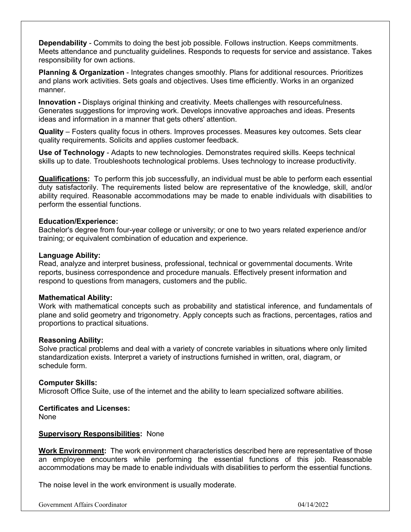**Dependability** - Commits to doing the best job possible. Follows instruction. Keeps commitments. Meets attendance and punctuality guidelines. Responds to requests for service and assistance. Takes responsibility for own actions.

**Planning & Organization** - Integrates changes smoothly. Plans for additional resources. Prioritizes and plans work activities. Sets goals and objectives. Uses time efficiently. Works in an organized manner.

**Innovation -** Displays original thinking and creativity. Meets challenges with resourcefulness. Generates suggestions for improving work. Develops innovative approaches and ideas. Presents ideas and information in a manner that gets others' attention.

**Quality** – Fosters quality focus in others. Improves processes. Measures key outcomes. Sets clear quality requirements. Solicits and applies customer feedback.

**Use of Technology** - Adapts to new technologies. Demonstrates required skills. Keeps technical skills up to date. Troubleshoots technological problems. Uses technology to increase productivity.

**Qualifications:** To perform this job successfully, an individual must be able to perform each essential duty satisfactorily. The requirements listed below are representative of the knowledge, skill, and/or ability required. Reasonable accommodations may be made to enable individuals with disabilities to perform the essential functions.

## **Education/Experience:**

Bachelor's degree from four-year college or university; or one to two years related experience and/or training; or equivalent combination of education and experience.

## **Language Ability:**

Read, analyze and interpret business, professional, technical or governmental documents. Write reports, business correspondence and procedure manuals. Effectively present information and respond to questions from managers, customers and the public.

## **Mathematical Ability:**

Work with mathematical concepts such as probability and statistical inference, and fundamentals of plane and solid geometry and trigonometry. Apply concepts such as fractions, percentages, ratios and proportions to practical situations.

## **Reasoning Ability:**

Solve practical problems and deal with a variety of concrete variables in situations where only limited standardization exists. Interpret a variety of instructions furnished in written, oral, diagram, or schedule form.

## **Computer Skills:**

Microsoft Office Suite, use of the internet and the ability to learn specialized software abilities.

### **Certificates and Licenses:** None

# **Supervisory Responsibilities:** None

**Work Environment:** The work environment characteristics described here are representative of those an employee encounters while performing the essential functions of this job. Reasonable accommodations may be made to enable individuals with disabilities to perform the essential functions.

The noise level in the work environment is usually moderate.